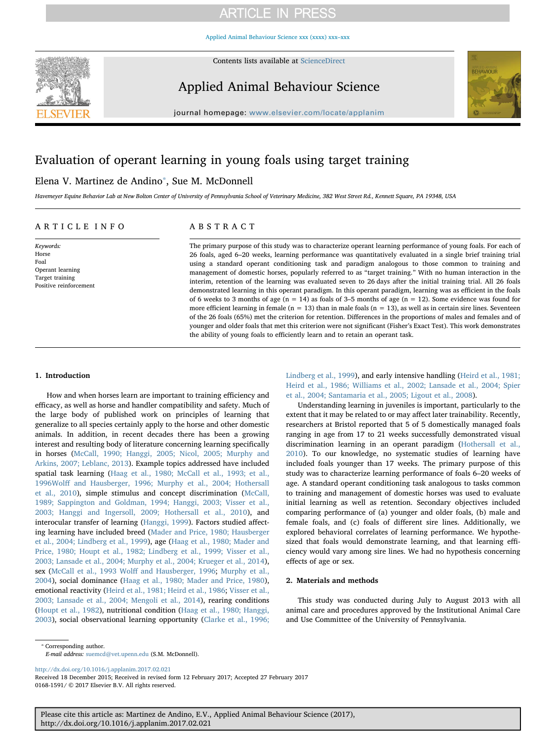# **ARTICLE IN PRESS**

[Applied Animal Behaviour Science xxx \(xxxx\) xxx–xxx](http://dx.doi.org/10.1016/j.applanim.2017.02.021)



Contents lists available at [ScienceDirect](http://www.sciencedirect.com/science/journal/01681591)

Applied Animal Behaviour Science



journal homepage: [www.elsevier.com/locate/applanim](http://www.elsevier.com/locate/applanim)

# Evaluation of operant learning in young foals using target training

# Elena V. Martinez de Andino<sup>\*</sup>, Sue M. McDonnell

Havemeyer Equine Behavior Lab at New Bolton Center of University of Pennsylvania School of Veterinary Medicine, 382 West Street Rd., Kennett Square, PA 19348, USA

# ARTICLE INFO

Keywords: Horse Foal Operant learning Target training Positive reinforcement

# ABSTRACT

The primary purpose of this study was to characterize operant learning performance of young foals. For each of 26 foals, aged 6–20 weeks, learning performance was quantitatively evaluated in a single brief training trial using a standard operant conditioning task and paradigm analogous to those common to training and management of domestic horses, popularly referred to as "target training." With no human interaction in the interim, retention of the learning was evaluated seven to 26 days after the initial training trial. All 26 foals demonstrated learning in this operant paradigm. In this operant paradigm, learning was as efficient in the foals of 6 weeks to 3 months of age ( $n = 14$ ) as foals of 3–5 months of age ( $n = 12$ ). Some evidence was found for more efficient learning in female ( $n = 13$ ) than in male foals ( $n = 13$ ), as well as in certain sire lines. Seventeen of the 26 foals (65%) met the criterion for retention. Differences in the proportions of males and females and of younger and older foals that met this criterion were not significant (Fisher's Exact Test). This work demonstrates the ability of young foals to efficiently learn and to retain an operant task.

# 1. Introduction

How and when horses learn are important to training efficiency and efficacy, as well as horse and handler compatibility and safety. Much of the large body of published work on principles of learning that generalize to all species certainly apply to the horse and other domestic animals. In addition, in recent decades there has been a growing interest and resulting body of literature concerning learning specifically in horses [\(McCall, 1990; Hanggi, 2005; Nicol, 2005; Murphy and](#page-5-0) [Arkins, 2007; Leblanc, 2013\)](#page-5-0). Example topics addressed have included spatial task learning ([Haag et al., 1980; McCall et al., 1993; et al.,](#page-4-0) 1996Wolff [and Hausberger, 1996; Murphy et al., 2004; Hothersall](#page-4-0) [et al., 2010](#page-4-0)), simple stimulus and concept discrimination ([McCall,](#page-5-1) [1989; Sappington and Goldman, 1994; Hanggi, 2003; Visser et al.,](#page-5-1) [2003; Hanggi and Ingersoll, 2009; Hothersall et al., 2010\)](#page-5-1), and interocular transfer of learning ([Hanggi, 1999\)](#page-4-1). Factors studied affecting learning have included breed ([Mader and Price, 1980; Hausberger](#page-5-2) [et al., 2004; Lindberg et al., 1999](#page-5-2)), age ([Haag et al., 1980; Mader and](#page-4-0) [Price, 1980; Houpt et al., 1982; Lindberg et al., 1999; Visser et al.,](#page-4-0) [2003; Lansade et al., 2004; Murphy et al., 2004; Krueger et al., 2014](#page-4-0)), sex [\(McCall et al., 1993](#page-5-3) Wolff [and Hausberger, 1996](#page-5-4); [Murphy et al.,](#page-5-5) [2004\)](#page-5-5), social dominance ([Haag et al., 1980; Mader and Price, 1980](#page-4-0)), emotional reactivity ([Heird et al., 1981; Heird et al., 1986](#page-5-6); [Visser et al.,](#page-5-7) [2003; Lansade et al., 2004; Mengoli et al., 2014\)](#page-5-7), rearing conditions ([Houpt et al., 1982](#page-5-8)), nutritional condition [\(Haag et al., 1980; Hanggi,](#page-4-0) [2003\)](#page-4-0), social observational learning opportunity ([Clarke et al., 1996;](#page-4-2)

[Lindberg et al., 1999](#page-4-2)), and early intensive handling [\(Heird et al., 1981;](#page-5-6) [Heird et al., 1986; Williams et al., 2002; Lansade et al., 2004; Spier](#page-5-6) [et al., 2004; Santamaria et al., 2005; Ligout et al., 2008](#page-5-6)).

Understanding learning in juveniles is important, particularly to the extent that it may be related to or may affect later trainability. Recently, researchers at Bristol reported that 5 of 5 domestically managed foals ranging in age from 17 to 21 weeks successfully demonstrated visual discrimination learning in an operant paradigm [\(Hothersall et al.,](#page-5-9) [2010\)](#page-5-9). To our knowledge, no systematic studies of learning have included foals younger than 17 weeks. The primary purpose of this study was to characterize learning performance of foals 6–20 weeks of age. A standard operant conditioning task analogous to tasks common to training and management of domestic horses was used to evaluate initial learning as well as retention. Secondary objectives included comparing performance of (a) younger and older foals, (b) male and female foals, and (c) foals of different sire lines. Additionally, we explored behavioral correlates of learning performance. We hypothesized that foals would demonstrate learning, and that learning efficiency would vary among sire lines. We had no hypothesis concerning effects of age or sex.

# 2. Materials and methods

This study was conducted during July to August 2013 with all animal care and procedures approved by the Institutional Animal Care and Use Committee of the University of Pennsylvania.

<span id="page-0-0"></span>⁎ Corresponding author.

E-mail address: [suemcd@vet.upenn.edu](mailto:suemcd@vet.upenn.edu) (S.M. McDonnell).

<http://dx.doi.org/10.1016/j.applanim.2017.02.021>

Received 18 December 2015; Received in revised form 12 February 2017; Accepted 27 February 2017 0168-1591/ © 2017 Elsevier B.V. All rights reserved.

Please cite this article as: Martinez de Andino, E.V., Applied Animal Behaviour Science (2017), http://dx.doi.org/10.1016/j.applanim.2017.02.021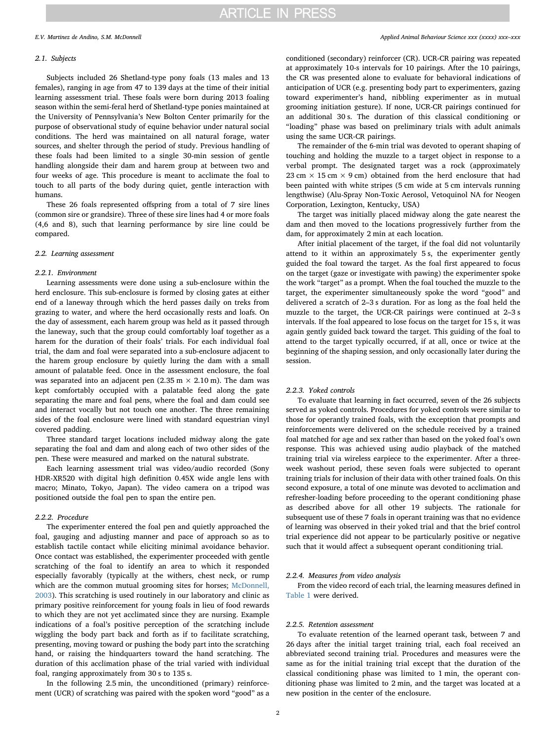### 2.1. Subjects

Subjects included 26 Shetland-type pony foals (13 males and 13 females), ranging in age from 47 to 139 days at the time of their initial learning assessment trial. These foals were born during 2013 foaling season within the semi-feral herd of Shetland-type ponies maintained at the University of Pennsylvania's New Bolton Center primarily for the purpose of observational study of equine behavior under natural social conditions. The herd was maintained on all natural forage, water sources, and shelter through the period of study. Previous handling of these foals had been limited to a single 30-min session of gentle handling alongside their dam and harem group at between two and four weeks of age. This procedure is meant to acclimate the foal to touch to all parts of the body during quiet, gentle interaction with humans.

These 26 foals represented offspring from a total of 7 sire lines (common sire or grandsire). Three of these sire lines had 4 or more foals (4,6 and 8), such that learning performance by sire line could be compared.

### 2.2. Learning assessment

#### 2.2.1. Environment

Learning assessments were done using a sub-enclosure within the herd enclosure. This sub-enclosure is formed by closing gates at either end of a laneway through which the herd passes daily on treks from grazing to water, and where the herd occasionally rests and loafs. On the day of assessment, each harem group was held as it passed through the laneway, such that the group could comfortably loaf together as a harem for the duration of their foals' trials. For each individual foal trial, the dam and foal were separated into a sub-enclosure adjacent to the harem group enclosure by quietly luring the dam with a small amount of palatable feed. Once in the assessment enclosure, the foal was separated into an adjacent pen  $(2.35 \text{ m} \times 2.10 \text{ m})$ . The dam was kept comfortably occupied with a palatable feed along the gate separating the mare and foal pens, where the foal and dam could see and interact vocally but not touch one another. The three remaining sides of the foal enclosure were lined with standard equestrian vinyl covered padding.

Three standard target locations included midway along the gate separating the foal and dam and along each of two other sides of the pen. These were measured and marked on the natural substrate.

Each learning assessment trial was video/audio recorded (Sony HDR-XR520 with digital high definition 0.45X wide angle lens with macro; Minato, Tokyo, Japan). The video camera on a tripod was positioned outside the foal pen to span the entire pen.

#### 2.2.2. Procedure

The experimenter entered the foal pen and quietly approached the foal, gauging and adjusting manner and pace of approach so as to establish tactile contact while eliciting minimal avoidance behavior. Once contact was established, the experimenter proceeded with gentle scratching of the foal to identify an area to which it responded especially favorably (typically at the withers, chest neck, or rump which are the common mutual grooming sites for horses; [McDonnell,](#page-5-10) [2003\)](#page-5-10). This scratching is used routinely in our laboratory and clinic as primary positive reinforcement for young foals in lieu of food rewards to which they are not yet acclimated since they are nursing. Example indications of a foal's positive perception of the scratching include wiggling the body part back and forth as if to facilitate scratching, presenting, moving toward or pushing the body part into the scratching hand, or raising the hindquarters toward the hand scratching. The duration of this acclimation phase of the trial varied with individual foal, ranging approximately from 30 s to 135 s.

In the following 2.5 min, the unconditioned (primary) reinforcement (UCR) of scratching was paired with the spoken word "good" as a

# E.V. Martinez de Andino, S.M. McDonnell *Applied Animal Behaviour Science xxx (xxxx) xxx–xxx*

conditioned (secondary) reinforcer (CR). UCR-CR pairing was repeated at approximately 10-s intervals for 10 pairings. After the 10 pairings, the CR was presented alone to evaluate for behavioral indications of anticipation of UCR (e.g. presenting body part to experimenters, gazing toward experimenter's hand, nibbling experimenter as in mutual grooming initiation gesture). If none, UCR-CR pairings continued for an additional 30 s. The duration of this classical conditioning or "loading" phase was based on preliminary trials with adult animals using the same UCR-CR pairings.

The remainder of the 6-min trial was devoted to operant shaping of touching and holding the muzzle to a target object in response to a verbal prompt. The designated target was a rock (approximately 23 cm  $\times$  15 cm  $\times$  9 cm) obtained from the herd enclosure that had been painted with white stripes (5 cm wide at 5 cm intervals running lengthwise) (Alu-Spray Non-Toxic Aerosol, Vetoquinol NA for Neogen Corporation, Lexington, Kentucky, USA)

The target was initially placed midway along the gate nearest the dam and then moved to the locations progressively further from the dam, for approximately 2 min at each location.

After initial placement of the target, if the foal did not voluntarily attend to it within an approximately 5 s, the experimenter gently guided the foal toward the target. As the foal first appeared to focus on the target (gaze or investigate with pawing) the experimenter spoke the work "target" as a prompt. When the foal touched the muzzle to the target, the experimenter simultaneously spoke the word "good" and delivered a scratch of 2–3 s duration. For as long as the foal held the muzzle to the target, the UCR-CR pairings were continued at 2–3 s intervals. If the foal appeared to lose focus on the target for 15 s, it was again gently guided back toward the target. This guiding of the foal to attend to the target typically occurred, if at all, once or twice at the beginning of the shaping session, and only occasionally later during the session.

### 2.2.3. Yoked controls

To evaluate that learning in fact occurred, seven of the 26 subjects served as yoked controls. Procedures for yoked controls were similar to those for operantly trained foals, with the exception that prompts and reinforcements were delivered on the schedule received by a trained foal matched for age and sex rather than based on the yoked foal's own response. This was achieved using audio playback of the matched training trial via wireless earpiece to the experimenter. After a threeweek washout period, these seven foals were subjected to operant training trials for inclusion of their data with other trained foals. On this second exposure, a total of one minute was devoted to acclimation and refresher-loading before proceeding to the operant conditioning phase as described above for all other 19 subjects. The rationale for subsequent use of these 7 foals in operant training was that no evidence of learning was observed in their yoked trial and that the brief control trial experience did not appear to be particularly positive or negative such that it would affect a subsequent operant conditioning trial.

# 2.2.4. Measures from video analysis

From the video record of each trial, the learning measures defined in [Table 1](#page-2-0) were derived.

### 2.2.5. Retention assessment

To evaluate retention of the learned operant task, between 7 and 26 days after the initial target training trial, each foal received an abbreviated second training trial. Procedures and measures were the same as for the initial training trial except that the duration of the classical conditioning phase was limited to 1 min, the operant conditioning phase was limited to 2 min, and the target was located at a new position in the center of the enclosure.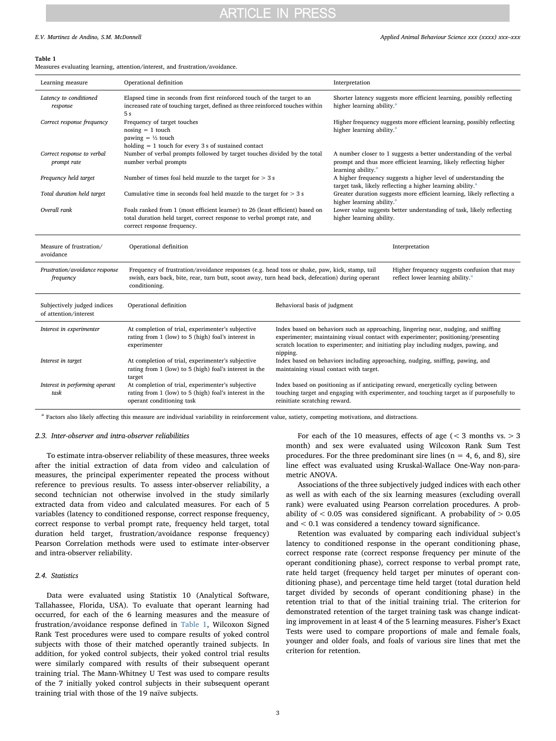# **ARTICLE IN PRESS**

#### <span id="page-2-0"></span>Table 1

Measures evaluating learning, attention/interest, and frustration/avoidance.

| Learning measure                                     | Operational definition                                                                                                                                                                                                                                                                                            |                                                                                                                                                                                                                                                                              | Interpretation                                                                                                                                                            |  |
|------------------------------------------------------|-------------------------------------------------------------------------------------------------------------------------------------------------------------------------------------------------------------------------------------------------------------------------------------------------------------------|------------------------------------------------------------------------------------------------------------------------------------------------------------------------------------------------------------------------------------------------------------------------------|---------------------------------------------------------------------------------------------------------------------------------------------------------------------------|--|
| Latency to conditioned<br>response                   | Elapsed time in seconds from first reinforced touch of the target to an<br>increased rate of touching target, defined as three reinforced touches within<br>5 <sub>s</sub>                                                                                                                                        |                                                                                                                                                                                                                                                                              | Shorter latency suggests more efficient learning, possibly reflecting<br>higher learning ability. <sup>a</sup>                                                            |  |
| Correct response frequency                           | Frequency of target touches<br>$nosing = 1$ touch<br>pawing $= \frac{1}{2}$ touch<br>holding $= 1$ touch for every 3 s of sustained contact                                                                                                                                                                       |                                                                                                                                                                                                                                                                              | Higher frequency suggests more efficient learning, possibly reflecting<br>higher learning ability. <sup>a</sup>                                                           |  |
| Correct response to verbal<br>prompt rate            | Number of verbal prompts followed by target touches divided by the total<br>number verbal prompts                                                                                                                                                                                                                 |                                                                                                                                                                                                                                                                              | A number closer to 1 suggests a better understanding of the verbal<br>prompt and thus more efficient learning, likely reflecting higher<br>learning ability. <sup>a</sup> |  |
| Frequency held target                                | Number of times foal held muzzle to the target for $>$ 3 s                                                                                                                                                                                                                                                        |                                                                                                                                                                                                                                                                              | A higher frequency suggests a higher level of understanding the<br>target task, likely reflecting a higher learning ability. <sup>a</sup>                                 |  |
| Total duration held target                           | Cumulative time in seconds foal held muzzle to the target for $>$ 3 s                                                                                                                                                                                                                                             |                                                                                                                                                                                                                                                                              | Greater duration suggests more efficient learning, likely reflecting a<br>higher learning ability. <sup>a</sup>                                                           |  |
| Overall rank                                         | Foals ranked from 1 (most efficient learner) to 26 (least efficient) based on<br>total duration held target, correct response to verbal prompt rate, and<br>correct response frequency.                                                                                                                           |                                                                                                                                                                                                                                                                              | Lower value suggests better understanding of task, likely reflecting<br>higher learning ability.                                                                          |  |
| Measure of frustration/<br>avoidance                 | Operational definition                                                                                                                                                                                                                                                                                            |                                                                                                                                                                                                                                                                              | Interpretation                                                                                                                                                            |  |
| Frustration/avoidance response<br>frequency          | Frequency of frustration/avoidance responses (e.g. head toss or shake, paw, kick, stamp, tail<br>Higher frequency suggests confusion that may<br>reflect lower learning ability. <sup>a</sup><br>swish, ears back, bite, rear, turn butt, scoot away, turn head back, defecation) during operant<br>conditioning. |                                                                                                                                                                                                                                                                              |                                                                                                                                                                           |  |
| Subjectively judged indices<br>of attention/interest | Operational definition                                                                                                                                                                                                                                                                                            | Behavioral basis of judgment                                                                                                                                                                                                                                                 |                                                                                                                                                                           |  |
| Interest in experimenter                             | At completion of trial, experimenter's subjective<br>rating from 1 (low) to 5 (high) foal's interest in<br>experimenter                                                                                                                                                                                           | Index based on behaviors such as approaching, lingering near, nudging, and sniffing<br>experimenter; maintaining visual contact with experimenter; positioning/presenting<br>scratch location to experimenter; and initiating play including nudges, pawing, and<br>nipping. |                                                                                                                                                                           |  |
| Interest in target                                   | At completion of trial, experimenter's subjective<br>rating from 1 (low) to 5 (high) foal's interest in the<br>target                                                                                                                                                                                             | Index based on behaviors including approaching, nudging, sniffing, pawing, and<br>maintaining visual contact with target.                                                                                                                                                    |                                                                                                                                                                           |  |
| Interest in performing operant<br>task               | At completion of trial, experimenter's subjective<br>rating from 1 (low) to 5 (high) foal's interest in the<br>operant conditioning task                                                                                                                                                                          | Index based on positioning as if anticipating reward, energetically cycling between<br>touching target and engaging with experimenter, and touching target as if purposefully to<br>reinitiate scratching reward.                                                            |                                                                                                                                                                           |  |

<span id="page-2-1"></span><sup>a</sup> Factors also likely affecting this measure are individual variability in reinforcement value, satiety, competing motivations, and distractions.

### 2.3. Inter-observer and intra-observer reliabilities

To estimate intra-observer reliability of these measures, three weeks after the initial extraction of data from video and calculation of measures, the principal experimenter repeated the process without reference to previous results. To assess inter-observer reliability, a second technician not otherwise involved in the study similarly extracted data from video and calculated measures. For each of 5 variables (latency to conditioned response, correct response frequency, correct response to verbal prompt rate, frequency held target, total duration held target, frustration/avoidance response frequency) Pearson Correlation methods were used to estimate inter-observer and intra-observer reliability.

# 2.4. Statistics

Data were evaluated using Statistix 10 (Analytical Software, Tallahassee, Florida, USA). To evaluate that operant learning had occurred, for each of the 6 learning measures and the measure of frustration/avoidance response defined in [Table 1,](#page-2-0) Wilcoxon Signed Rank Test procedures were used to compare results of yoked control subjects with those of their matched operantly trained subjects. In addition, for yoked control subjects, their yoked control trial results were similarly compared with results of their subsequent operant training trial. The Mann-Whitney U Test was used to compare results of the 7 initially yoked control subjects in their subsequent operant training trial with those of the 19 naïve subjects.

For each of the 10 measures, effects of age  $(< 3$  months vs.  $> 3$ month) and sex were evaluated using Wilcoxon Rank Sum Test procedures. For the three predominant sire lines ( $n = 4$ , 6, and 8), sire line effect was evaluated using Kruskal-Wallace One-Way non-parametric ANOVA.

Associations of the three subjectively judged indices with each other as well as with each of the six learning measures (excluding overall rank) were evaluated using Pearson correlation procedures. A probability of  $< 0.05$  was considered significant. A probability of  $> 0.05$ and < 0.1 was considered a tendency toward significance.

Retention was evaluated by comparing each individual subject's latency to conditioned response in the operant conditioning phase, correct response rate (correct response frequency per minute of the operant conditioning phase), correct response to verbal prompt rate, rate held target (frequency held target per minutes of operant conditioning phase), and percentage time held target (total duration held target divided by seconds of operant conditioning phase) in the retention trial to that of the initial training trial. The criterion for demonstrated retention of the target training task was change indicating improvement in at least 4 of the 5 learning measures. Fisher's Exact Tests were used to compare proportions of male and female foals, younger and older foals, and foals of various sire lines that met the criterion for retention.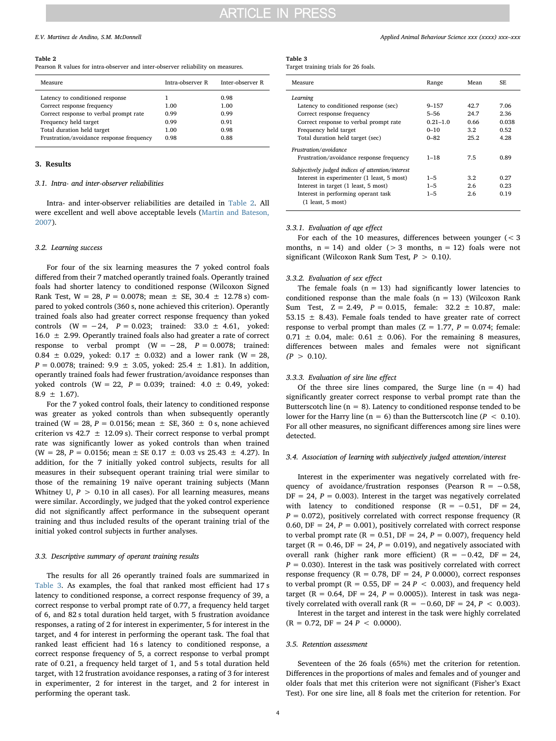#### <span id="page-3-0"></span>Table 2

Pearson R values for intra-observer and inter-observer reliability on measures.

| Measure                                  | Intra-observer R | Inter-observer R |  |
|------------------------------------------|------------------|------------------|--|
| Latency to conditioned response          |                  | 0.98             |  |
| Correct response frequency               | 1.00             | 1.00             |  |
| Correct response to verbal prompt rate   | 0.99             | 0.99             |  |
| Frequency held target                    | 0.99             | 0.91             |  |
| Total duration held target               | 1.00             | 0.98             |  |
| Frustration/avoidance response frequency | 0.98             | 0.88             |  |

#### 3. Results

# 3.1. Intra- and inter-observer reliabilities

Intra- and inter-observer reliabilities are detailed in [Table 2.](#page-3-0) All were excellent and well above acceptable levels [\(Martin and Bateson,](#page-5-11) [2007\)](#page-5-11).

#### 3.2. Learning success

For four of the six learning measures the 7 yoked control foals differed from their 7 matched operantly trained foals. Operantly trained foals had shorter latency to conditioned response (Wilcoxon Signed Rank Test,  $W = 28$ ,  $P = 0.0078$ ; mean  $\pm$  SE, 30.4  $\pm$  12.78 s) compared to yoked controls (360 s, none achieved this criterion). Operantly trained foals also had greater correct response frequency than yoked controls (W =  $-24$ ,  $P = 0.023$ ; trained: 33.0 ± 4.61, yoked:  $16.0 \pm 2.99$ . Operantly trained foals also had greater a rate of correct response to verbal prompt (W =  $-28$ ,  $P = 0.0078$ ; trained: 0.84  $\pm$  0.029, yoked: 0.17  $\pm$  0.032) and a lower rank (W = 28,  $P = 0.0078$ ; trained: 9.9  $\pm$  3.05, yoked: 25.4  $\pm$  1.81). In addition, operantly trained foals had fewer frustration/avoidance responses than yoked controls (W = 22,  $P = 0.039$ ; trained: 4.0  $\pm$  0.49, yoked:  $8.9 \pm 1.67$ ).

For the 7 yoked control foals, their latency to conditioned response was greater as yoked controls than when subsequently operantly trained (W = 28, P = 0.0156; mean  $\pm$  SE, 360  $\pm$  0 s, none achieved criterion vs 42.7  $\pm$  12.09 s). Their correct response to verbal prompt rate was significantly lower as yoked controls than when trained (W = 28, P = 0.0156; mean  $\pm$  SE 0.17  $\pm$  0.03 vs 25.43  $\pm$  4.27). In addition, for the 7 initially yoked control subjects, results for all measures in their subsequent operant training trial were similar to those of the remaining 19 naïve operant training subjects (Mann Whitney U,  $P > 0.10$  in all cases). For all learning measures, means were similar. Accordingly, we judged that the yoked control experience did not significantly affect performance in the subsequent operant training and thus included results of the operant training trial of the initial yoked control subjects in further analyses.

## 3.3. Descriptive summary of operant training results

The results for all 26 operantly trained foals are summarized in [Table 3.](#page-3-1) As examples, the foal that ranked most efficient had 17 s latency to conditioned response, a correct response frequency of 39, a correct response to verbal prompt rate of 0.77, a frequency held target of 6, and 82 s total duration held target, with 5 frustration avoidance responses, a rating of 2 for interest in experimenter, 5 for interest in the target, and 4 for interest in performing the operant task. The foal that ranked least efficient had 16 s latency to conditioned response, a correct response frequency of 5, a correct response to verbal prompt rate of 0.21, a frequency held target of 1, and 5 s total duration held target, with 12 frustration avoidance responses, a rating of 3 for interest in experimenter, 2 for interest in the target, and 2 for interest in performing the operant task.

#### E.V. Martinez de Andino, S.M. McDonnell *Applied Animal Behaviour Science xxx (xxxx) xxx–xxx*

# <span id="page-3-1"></span>Table 3

Target training trials for 26 foals.

| Measure                                           | Range        | Mean | SE.   |
|---------------------------------------------------|--------------|------|-------|
| Learning                                          |              |      |       |
| Latency to conditioned response (sec)             | $9 - 157$    | 42.7 | 7.06  |
| Correct response frequency                        | 5–56         | 24.7 | 2.36  |
| Correct response to verbal prompt rate            | $0.21 - 1.0$ | 0.66 | 0.038 |
| Frequency held target                             | $0 - 10$     | 3.2  | 0.52  |
| Total duration held target (sec)                  | $0 - 82$     | 25.2 | 4.28  |
| Frustration/avoidance                             |              |      |       |
| Frustration/avoidance response frequency          | $1 - 18$     | 7.5  | 0.89  |
| Subjectively judged indices of attention/interest |              |      |       |
| Interest in experimenter (1 least, 5 most)        | $1 - 5$      | 3.2  | 0.27  |
| Interest in target (1 least, 5 most)              | $1 - 5$      | 2.6  | 0.23  |
| Interest in performing operant task               | $1 - 5$      | 2.6  | 0.19  |
| $(1$ least. 5 most)                               |              |      |       |

# 3.3.1. Evaluation of age effect

For each of the 10 measures, differences between younger (< 3 months,  $n = 14$ ) and older ( $> 3$  months,  $n = 12$ ) foals were not significant (Wilcoxon Rank Sum Test,  $P > 0.10$ ).

#### 3.3.2. Evaluation of sex effect

The female foals  $(n = 13)$  had significantly lower latencies to conditioned response than the male foals  $(n = 13)$  (Wilcoxon Rank Sum Test,  $Z = 2.49$ ,  $P = 0.015$ , female:  $32.2 \pm 10.87$ , male: 53.15  $\pm$  8.43). Female foals tended to have greater rate of correct response to verbal prompt than males ( $Z = 1.77$ ,  $P = 0.074$ ; female:  $0.71 \pm 0.04$ , male:  $0.61 \pm 0.06$ ). For the remaining 8 measures, differences between males and females were not significant  $(P > 0.10)$ .

## 3.3.3. Evaluation of sire line effect

Of the three sire lines compared, the Surge line  $(n = 4)$  had significantly greater correct response to verbal prompt rate than the Butterscotch line ( $n = 8$ ). Latency to conditioned response tended to be lower for the Harry line (n = 6) than the Butterscotch line ( $P < 0.10$ ). For all other measures, no significant differences among sire lines were detected.

# 3.4. Association of learning with subjectively judged attention/interest

Interest in the experimenter was negatively correlated with frequency of avoidance/frustration responses (Pearson  $R = -0.58$ ,  $DF = 24$ ,  $P = 0.003$ ). Interest in the target was negatively correlated with latency to conditioned response  $(R = -0.51, DF = 24,$  $P = 0.072$ ), positively correlated with correct response frequency (R 0.60, DF = 24,  $P = 0.001$ ), positively correlated with correct response to verbal prompt rate ( $R = 0.51$ ,  $DF = 24$ ,  $P = 0.007$ ), frequency held target (R = 0.46, DF = 24,  $P = 0.019$ ), and negatively associated with overall rank (higher rank more efficient) ( $R = -0.42$ ,  $DF = 24$ ,  $P = 0.030$ . Interest in the task was positively correlated with correct response frequency ( $R = 0.78$ ,  $DF = 24$ ,  $P = 0.0000$ ), correct responses to verbal prompt (R = 0.55, DF = 24  $P$  < 0.003), and frequency held target (R = 0.64, DF = 24,  $P = 0.0005$ )). Interest in task was negatively correlated with overall rank ( $R = -0.60$ , DF = 24,  $P < 0.003$ ).

Interest in the target and interest in the task were highly correlated  $(R = 0.72, DF = 24 P < 0.0000).$ 

#### 3.5. Retention assessment

Seventeen of the 26 foals (65%) met the criterion for retention. Differences in the proportions of males and females and of younger and older foals that met this criterion were not significant (Fisher's Exact Test). For one sire line, all 8 foals met the criterion for retention. For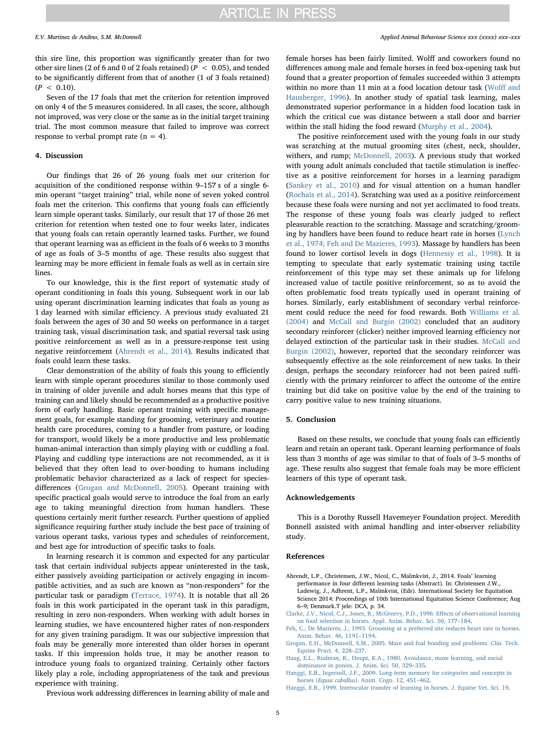this sire line, this proportion was significantly greater than for two other sire lines (2 of 6 and 0 of 2 foals retained) ( $P < 0.05$ ), and tended to be significantly different from that of another (1 of 3 foals retained)  $(P < 0.10)$ .

Seven of the 17 foals that met the criterion for retention improved on only 4 of the 5 measures considered. In all cases, the score, although not improved, was very close or the same as in the initial target training trial. The most common measure that failed to improve was correct response to verbal prompt rate  $(n = 4)$ .

# 4. Discussion

Our findings that 26 of 26 young foals met our criterion for acquisition of the conditioned response within 9–157 s of a single 6 min operant "target training" trial, while none of seven yoked control foals met the criterion. This confirms that young foals can efficiently learn simple operant tasks. Similarly, our result that 17 of those 26 met criterion for retention when tested one to four weeks later, indicates that young foals can retain operantly learned tasks. Further, we found that operant learning was as efficient in the foals of 6 weeks to 3 months of age as foals of 3–5 months of age. These results also suggest that learning may be more efficient in female foals as well as in certain sire lines.

To our knowledge, this is the first report of systematic study of operant conditioning in foals this young. Subsequent work in our lab using operant discrimination learning indicates that foals as young as 1 day learned with similar efficiency. A previous study evaluated 21 foals between the ages of 30 and 50 weeks on performance in a target training task, visual discrimination task, and spatial reversal task using positive reinforcement as well as in a pressure-response test using negative reinforcement ([Ahrendt et al., 2014](#page-4-3)). Results indicated that foals could learn these tasks.

Clear demonstration of the ability of foals this young to efficiently learn with simple operant procedures similar to those commonly used in training of older juvenile and adult horses means that this type of training can and likely should be recommended as a productive positive form of early handling. Basic operant training with specific management goals, for example standing for grooming, veterinary and routine health care procedures, coming to a handler from pasture, or loading for transport, would likely be a more productive and less problematic human-animal interaction than simply playing with or cuddling a foal. Playing and cuddling type interactions are not recommended, as it is believed that they often lead to over-bonding to humans including problematic behavior characterized as a lack of respect for speciesdifferences ([Grogan and McDonnell, 2005](#page-4-4)). Operant training with specific practical goals would serve to introduce the foal from an early age to taking meaningful direction from human handlers. These questions certainly merit further research. Further questions of applied significance requiring further study include the best pace of training of various operant tasks, various types and schedules of reinforcement, and best age for introduction of specific tasks to foals.

In learning research it is common and expected for any particular task that certain individual subjects appear uninterested in the task, either passively avoiding participation or actively engaging in incompatible activities, and as such are known as "non-responders" for the particular task or paradigm ([Terrace, 1974](#page-5-12)). It is notable that all 26 foals in this work participated in the operant task in this paradigm, resulting in zero non-responders. When working with adult horses in learning studies, we have encountered higher rates of non-responders for any given training paradigm. It was our subjective impression that foals may be generally more interested than older horses in operant tasks. If this impression holds true, it may be another reason to introduce young foals to organized training. Certainly other factors likely play a role, including appropriateness of the task and previous experience with training.

Previous work addressing differences in learning ability of male and

female horses has been fairly limited. Wolff and coworkers found no differences among male and female horses in feed box-opening task but found that a greater proportion of females succeeded within 3 attempts within no more than 11 min at a food location detour task ([Wol](#page-5-4)ff and [Hausberger, 1996](#page-5-4)). In another study of spatial task learning, males demonstrated superior performance in a hidden food location task in which the critical cue was distance between a stall door and barrier within the stall hiding the food reward [\(Murphy et al., 2004\)](#page-5-5).

The positive reinforcement used with the young foals in our study was scratching at the mutual grooming sites (chest, neck, shoulder, withers, and rump; [McDonnell, 2003\)](#page-5-10). A previous study that worked with young adult animals concluded that tactile stimulation is ineffective as a positive reinforcement for horses in a learning paradigm ([Sankey et al., 2010](#page-5-13)) and for visual attention on a human handler ([Rochais et al., 2014\)](#page-5-14). Scratching was used as a positive reinforcement because these foals were nursing and not yet acclimated to food treats. The response of these young foals was clearly judged to reflect pleasurable reaction to the scratching. Massage and scratching/grooming by handlers have been found to reduce heart rate in horses [\(Lynch](#page-5-15) [et al., 1974; Feh and De Mazieres, 1993](#page-5-15)). Massage by handlers has been found to lower cortisol levels in dogs [\(Hennessy et al., 1998\)](#page-5-16). It is tempting to speculate that early systematic training using tactile reinforcement of this type may set these animals up for lifelong increased value of tactile positive reinforcement, so as to avoid the often problematic food treats typically used in operant training of horses. Similarly, early establishment of secondary verbal reinforcement could reduce the need for food rewards. Both [Williams et al.](#page-5-17) [\(2004\)](#page-5-17) and [McCall and Burgin \(2002\)](#page-5-18) concluded that an auditory secondary reinforcer (clicker) neither improved learning efficiency nor delayed extinction of the particular task in their studies. [McCall and](#page-5-18) [Burgin \(2002\),](#page-5-18) however, reported that the secondary reinforcer was subsequently effective as the sole reinforcement of new tasks. In their design, perhaps the secondary reinforcer had not been paired sufficiently with the primary reinforcer to affect the outcome of the entire training but did take on positive value by the end of the training to carry positive value to new training situations.

# 5. Conclusion

Based on these results, we conclude that young foals can efficiently learn and retain an operant task. Operant learning performance of foals less than 3 months of age was similar to that of foals of 3–5 months of age. These results also suggest that female foals may be more efficient learners of this type of operant task.

# Acknowledgements

This is a Dorothy Russell Havemeyer Foundation project. Meredith Bonnell assisted with animal handling and inter-observer reliability study.

## References

<span id="page-4-3"></span>Ahrendt, L.P., Christensen, J.W., Nicol, C., Malmkvist, J., 2014. Foals' learning performance in four different learning tasks (Abstract). In: Christensen J.W., Ladewig, J., Adhrent, L.P., Malmkvist, (Eds). International Society for Equitation Science 2014: Proceedings of 10th International Equitation Science Conference; Aug 6–9; Denmark.T jele: DCA, p. 34.

- <span id="page-4-2"></span>[Clarke, J.V., Nicol, C.J., Jones, R., McGreevy, P.D., 1996. E](http://refhub.elsevier.com/S0168-1591(17)30101-6/sbref0010)ffects of observational learning [on food selection in horses. Appl. Anim. Behav. Sci. 50, 177](http://refhub.elsevier.com/S0168-1591(17)30101-6/sbref0010)–184. [Feh, C., De Mazieres, J., 1993. Grooming at a preferred site reduces heart rate in horses.](http://refhub.elsevier.com/S0168-1591(17)30101-6/sbref0015)
- <span id="page-4-4"></span>[Anim. Behav. 46, 1191](http://refhub.elsevier.com/S0168-1591(17)30101-6/sbref0015)–1194. [Grogan, E.H., McDonnell, S.M., 2005. Mare and foal bonding and problems. Clin. Tech.](http://refhub.elsevier.com/S0168-1591(17)30101-6/sbref0020)
- <span id="page-4-0"></span>[Equine Pract. 4, 228](http://refhub.elsevier.com/S0168-1591(17)30101-6/sbref0020)–237. [Haag, E.L., Rudman, R., Houpt, K.A., 1980. Avoidance, maze learning, and social](http://refhub.elsevier.com/S0168-1591(17)30101-6/sbref0025)
- [dominance in ponies. J. Anim. Sci. 50, 329](http://refhub.elsevier.com/S0168-1591(17)30101-6/sbref0025)–335. [Hanggi, E.B., Ingersoll, J.F., 2009. Long-term memory for categories and concepts in](http://refhub.elsevier.com/S0168-1591(17)30101-6/sbref0030)
- horses (Equus caballus[\). Anim. Cogn. 12, 451](http://refhub.elsevier.com/S0168-1591(17)30101-6/sbref0030)–462.
- <span id="page-4-1"></span>[Hanggi, E.B., 1999. Interocular transfer of learning in horses. J. Equine Vet. Sci. 19,](http://refhub.elsevier.com/S0168-1591(17)30101-6/sbref0035)